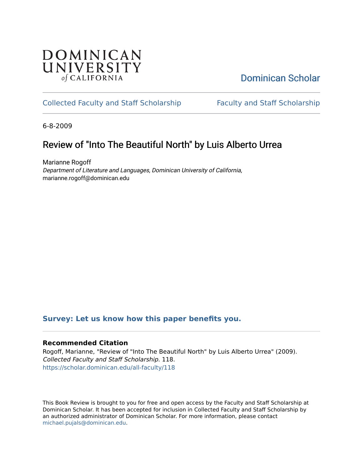## **DOMINICAN** UNIVERSITY of CALIFORNIA

## [Dominican Scholar](https://scholar.dominican.edu/)

## [Collected Faculty and Staff Scholarship](https://scholar.dominican.edu/all-faculty) [Faculty and Staff Scholarship](https://scholar.dominican.edu/faculty-scholarship)

6-8-2009

# Review of "Into The Beautiful North" by Luis Alberto Urrea

Marianne Rogoff Department of Literature and Languages, Dominican University of California, marianne.rogoff@dominican.edu

### **[Survey: Let us know how this paper benefits you.](https://dominican.libwizard.com/dominican-scholar-feedback)**

### **Recommended Citation**

Rogoff, Marianne, "Review of "Into The Beautiful North" by Luis Alberto Urrea" (2009). Collected Faculty and Staff Scholarship. 118. [https://scholar.dominican.edu/all-faculty/118](https://scholar.dominican.edu/all-faculty/118?utm_source=scholar.dominican.edu%2Fall-faculty%2F118&utm_medium=PDF&utm_campaign=PDFCoverPages) 

This Book Review is brought to you for free and open access by the Faculty and Staff Scholarship at Dominican Scholar. It has been accepted for inclusion in Collected Faculty and Staff Scholarship by an authorized administrator of Dominican Scholar. For more information, please contact [michael.pujals@dominican.edu.](mailto:michael.pujals@dominican.edu)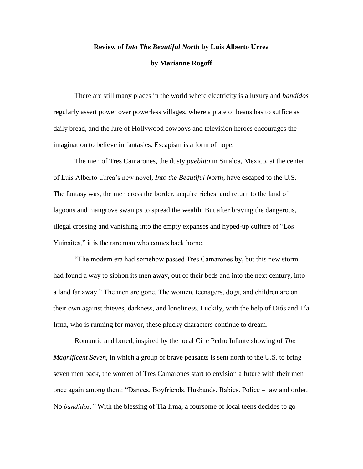#### **Review of** *Into The Beautiful North* **by Luis Alberto Urrea**

#### **by Marianne Rogoff**

There are still many places in the world where electricity is a luxury and *bandidos*  regularly assert power over powerless villages, where a plate of beans has to suffice as daily bread, and the lure of Hollywood cowboys and television heroes encourages the imagination to believe in fantasies. Escapism is a form of hope.

The men of Tres Camarones, the dusty *pueblito* in Sinaloa, Mexico, at the center of Luis Alberto Urrea's new novel, *Into the Beautiful North*, have escaped to the U.S. The fantasy was, the men cross the border, acquire riches, and return to the land of lagoons and mangrove swamps to spread the wealth. But after braving the dangerous, illegal crossing and vanishing into the empty expanses and hyped-up culture of "Los Yuinaites," it is the rare man who comes back home.

"The modern era had somehow passed Tres Camarones by, but this new storm had found a way to siphon its men away, out of their beds and into the next century, into a land far away." The men are gone. The women, teenagers, dogs, and children are on their own against thieves, darkness, and loneliness. Luckily, with the help of Diós and Tía Irma, who is running for mayor, these plucky characters continue to dream.

Romantic and bored, inspired by the local Cine Pedro Infante showing of *The Magnificent Seven*, in which a group of brave peasants is sent north to the U.S. to bring seven men back, the women of Tres Camarones start to envision a future with their men once again among them: "Dances. Boyfriends. Husbands. Babies. Police – law and order. No *bandidos."* With the blessing of Tía Irma, a foursome of local teens decides to go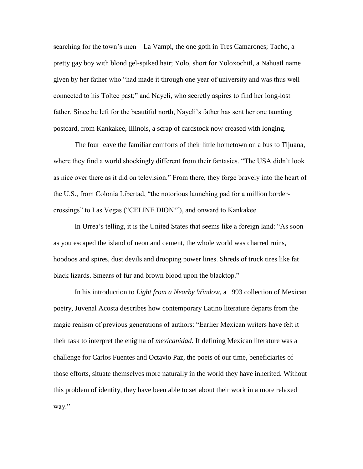searching for the town's men—La Vampi, the one goth in Tres Camarones; Tacho, a pretty gay boy with blond gel-spiked hair; Yolo, short for Yoloxochitl, a Nahuatl name given by her father who "had made it through one year of university and was thus well connected to his Toltec past;" and Nayeli, who secretly aspires to find her long-lost father. Since he left for the beautiful north, Nayeli's father has sent her one taunting postcard, from Kankakee, Illinois, a scrap of cardstock now creased with longing.

The four leave the familiar comforts of their little hometown on a bus to Tijuana, where they find a world shockingly different from their fantasies. "The USA didn't look as nice over there as it did on television." From there, they forge bravely into the heart of the U.S., from Colonia Libertad, "the notorious launching pad for a million bordercrossings" to Las Vegas ("CELINE DION!"), and onward to Kankakee.

In Urrea's telling, it is the United States that seems like a foreign land: "As soon as you escaped the island of neon and cement, the whole world was charred ruins, hoodoos and spires, dust devils and drooping power lines. Shreds of truck tires like fat black lizards. Smears of fur and brown blood upon the blacktop."

In his introduction to *Light from a Nearby Window*, a 1993 collection of Mexican poetry, Juvenal Acosta describes how contemporary Latino literature departs from the magic realism of previous generations of authors: "Earlier Mexican writers have felt it their task to interpret the enigma of *mexicanidad*. If defining Mexican literature was a challenge for Carlos Fuentes and Octavio Paz, the poets of our time, beneficiaries of those efforts, situate themselves more naturally in the world they have inherited. Without this problem of identity, they have been able to set about their work in a more relaxed way."